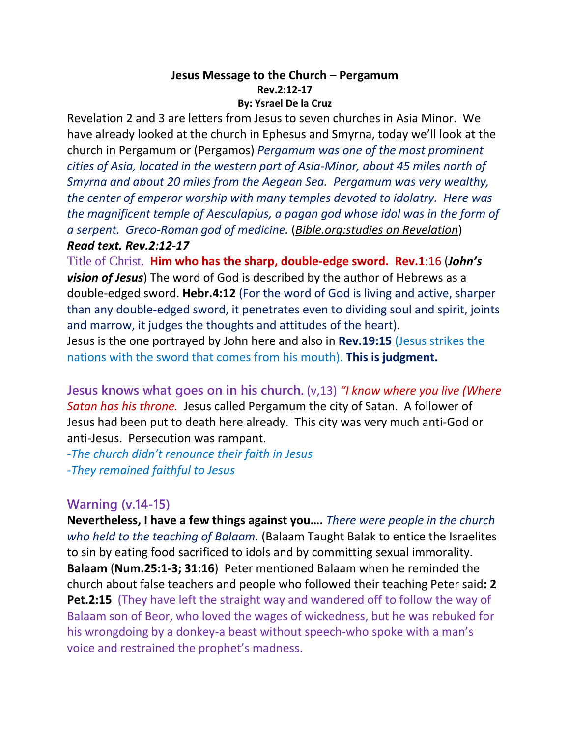#### **Jesus Message to the Church – Pergamum Rev.2:12-17 By: Ysrael De la Cruz**

Revelation 2 and 3 are letters from Jesus to seven churches in Asia Minor. We have already looked at the church in Ephesus and Smyrna, today we'll look at the church in Pergamum or (Pergamos) *Pergamum was one of the most prominent cities of Asia, located in the western part of Asia-Minor, about 45 miles north of Smyrna and about 20 miles from the Aegean Sea. Pergamum was very wealthy, the center of emperor worship with many temples devoted to idolatry. Here was the magnificent temple of Aesculapius, a pagan god whose idol was in the form of a serpent. Greco-Roman god of medicine.* (*Bible.org:studies on Revelation*) *Read text. Rev.2:12-17*

Title of Christ. **Him who has the sharp, double-edge sword. Rev.1**:16 (*John's vision of Jesus*) The word of God is described by the author of Hebrews as a double-edged sword. **Hebr.4:12** (For the word of God is living and active, sharper than any double-edged sword, it penetrates even to dividing soul and spirit, joints and marrow, it judges the thoughts and attitudes of the heart). Jesus is the one portrayed by John here and also in **Rev.19:15** (Jesus strikes the nations with the sword that comes from his mouth). **This is judgment.**

**Jesus knows what goes on in his church.** (v,13) *"I know where you live (Where Satan has his throne.* Jesus called Pergamum the city of Satan. A follower of Jesus had been put to death here already. This city was very much anti-God or anti-Jesus. Persecution was rampant.

*-The church didn't renounce their faith in Jesus -They remained faithful to Jesus*

### **Warning (v.14-15)**

**Nevertheless, I have a few things against you….** *There were people in the church who held to the teaching of Balaam.* (Balaam Taught Balak to entice the Israelites to sin by eating food sacrificed to idols and by committing sexual immorality. **Balaam** (**Num.25:1-3; 31:16**) Peter mentioned Balaam when he reminded the church about false teachers and people who followed their teaching Peter said**: 2 Pet.2:15** (They have left the straight way and wandered off to follow the way of Balaam son of Beor, who loved the wages of wickedness, but he was rebuked for his wrongdoing by a donkey-a beast without speech-who spoke with a man's voice and restrained the prophet's madness.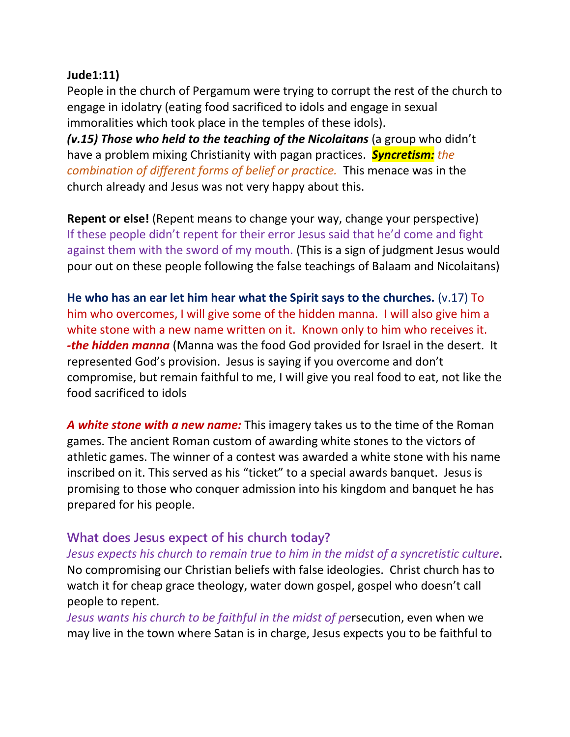### **Jude1:11)**

People in the church of Pergamum were trying to corrupt the rest of the church to engage in idolatry (eating food sacrificed to idols and engage in sexual immoralities which took place in the temples of these idols).

*(v.15) Those who held to the teaching of the Nicolaitans* (a group who didn't have a problem mixing Christianity with pagan practices. *Syncretism: the combination of different forms of belief or practice.* This menace was in the church already and Jesus was not very happy about this.

**Repent or else!** (Repent means to change your way, change your perspective) If these people didn't repent for their error Jesus said that he'd come and fight against them with the sword of my mouth. (This is a sign of judgment Jesus would pour out on these people following the false teachings of Balaam and Nicolaitans)

**He who has an ear let him hear what the Spirit says to the churches.** (v.17) To him who overcomes, I will give some of the hidden manna. I will also give him a white stone with a new name written on it. Known only to him who receives it. *-the hidden manna* (Manna was the food God provided for Israel in the desert. It represented God's provision. Jesus is saying if you overcome and don't compromise, but remain faithful to me, I will give you real food to eat, not like the food sacrificed to idols

*A white stone with a new name:* This imagery takes us to the time of the Roman games. The ancient Roman custom of awarding white stones to the victors of athletic games. The winner of a contest was awarded a white stone with his name inscribed on it. This served as his "ticket" to a special awards banquet. Jesus is promising to those who conquer admission into his kingdom and banquet he has prepared for his people.

## **What does Jesus expect of his church today?**

*Jesus expects his church to remain true to him in the midst of a syncretistic culture*. No compromising our Christian beliefs with false ideologies. Christ church has to watch it for cheap grace theology, water down gospel, gospel who doesn't call people to repent.

*Jesus wants his church to be faithful in the midst of pe*rsecution, even when we may live in the town where Satan is in charge, Jesus expects you to be faithful to